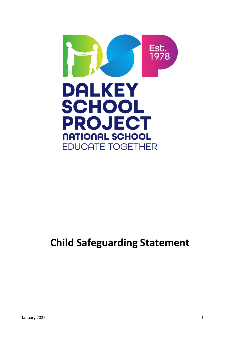

# **Child Safeguarding Statement**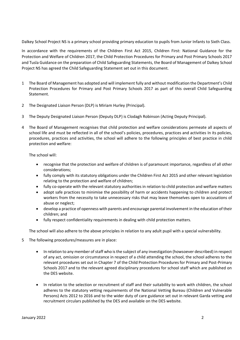Dalkey School Project NS is a primary school providing primary education to pupils from Junior Infants to Sixth Class.

In accordance with the requirements of the Children First Act 2015, Children First: National Guidance for the Protection and Welfare of Children 2017, the Child Protection Procedures for Primary and Post Primary Schools 2017 and Tusla Guidance on the preparation of Child Safeguarding Statements, the Board of Management of Dalkey School Project NS has agreed the Child Safeguarding Statement set out in this document.

- 1 The Board of Management has adopted and will implement fully and without modification the Department's Child Protection Procedures for Primary and Post Primary Schools 2017 as part of this overall Child Safeguarding Statement.
- 2 The Designated Liaison Person (DLP) is Miriam Hurley (Principal).
- 3 The Deputy Designated Liaison Person (Deputy DLP) is Clodagh Robinson (Acting Deputy Principal).
- 4 The Board of Management recognises that child protection and welfare considerations permeate all aspects of school life and must be reflected in all of the school's policies, procedures, practices and activities In its policies, procedures, practices and activities, the school will adhere to the following principles of best practice in child protection and welfare:

The school will:

- recognise that the protection and welfare of children is of paramount importance, regardless of all other considerations;
- fully comply with its statutory obligations under the Children First Act 2015 and other relevant legislation relating to the protection and welfare of children;
- fully co-operate with the relevant statutory authorities in relation to child protection and welfare matters
- adopt safe practices to minimise the possibility of harm or accidents happening to children and protect workers from the necessity to take unnecessary risks that may leave themselves open to accusations of abuse or neglect;
- develop a practice of openness with parents and encourage parental involvement in the education of their children; and
- fully respect confidentiality requirements in dealing with child protection matters.

The school will also adhere to the above principles in relation to any adult pupil with a special vulnerability.

- 5 The following procedures/measures are in place:
	- In relation to any member of staff who is the subject of any investigation (howsoever described) in respect of any act, omission or circumstance in respect of a child attending the school, the school adheres to the relevant procedures set out in Chapter 7 of the Child Protection Procedures for Primary and Post-Primary Schools 2017 and to the relevant agreed disciplinary procedures for school staff which are published on the DES website.
	- In relation to the selection or recruitment of staff and their suitability to work with children, the school adheres to the statutory vetting requirements of the National Vetting Bureau (Children and Vulnerable Persons) Acts 2012 to 2016 and to the wider duty of care guidance set out in relevant Garda vetting and recruitment circulars published by the DES and available on the DES website.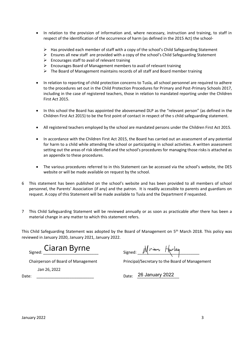- In relation to the provision of information and, where necessary, instruction and training, to staff in respect of the identification of the occurrence of harm (as defined in the 2015 Act) the school-
	- $\triangleright$  Has provided each member of staff with a copy of the school's Child Safeguarding Statement
	- $\triangleright$  Ensures all new staff are provided with a copy of the school's Child Safeguarding Statement
	- $\triangleright$  Encourages staff to avail of relevant training
	- ➢ Encourages Board of Management members to avail of relevant training
	- ➢ The Board of Management maintains records of all staff and Board member training
- In relation to reporting of child protection concerns to Tusla, all school personnel are required to adhere to the procedures set out in the Child Protection Procedures for Primary and Post-Primary Schools 2017, including in the case of registered teachers, those in relation to mandated reporting under the Children First Act 2015.
- In this school the Board has appointed the abovenamed DLP as the "relevant person" (as defined in the Children First Act 2015) to be the first point of contact in respect of the s child safeguarding statement.
- All registered teachers employed by the school are mandated persons under the Children First Act 2015.
- In accordance with the Children First Act 2015, the Board has carried out an assessment of any potential for harm to a child while attending the school or participating in school activities. A written assessment setting out the areas of risk identified and the school's procedures for managing those risks is attached as an appendix to these procedures.
- The various procedures referred to in this Statement can be accessed via the school's website, the DES website or will be made available on request by the school.
- 6 This statement has been published on the school's website and has been provided to all members of school personnel, the Parents' Association (if any) and the patron. It is readily accessible to parents and guardians on request. A copy of this Statement will be made available to Tusla and the Department if requested.
- 7 This Child Safeguarding Statement will be reviewed annually or as soon as practicable after there has been a material change in any matter to which this statement refers.

This Child Safeguarding Statement was adopted by the Board of Management on 5<sup>th</sup> March 2018. This policy was reviewed in January 2020, January 2021, January 2022.

Signed: Ciaran Byrne Signed: Miriam Hurley

Chairperson of Board of Management Principal/Secretary to the Board of Management

Jan 26, 2022

Date: <u>Date:</u> 26 January 2022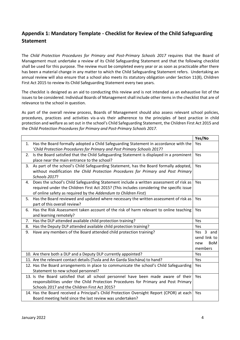# **Appendix 1: Mandatory Template - Checklist for Review of the Child Safeguarding Statement**

The *Child Protection Procedures for Primary and Post-Primary Schools 2017* requires that the Board of Management must undertake a review of its Child Safeguarding Statement and that the following checklist shall be used for this purpose. The review must be completed every year or as soon as practicable after there has been a material change in any matter to which the Child Safeguarding Statement refers. Undertaking an annual review will also ensure that a school also meets its statutory obligation under Section 11(8), Children First Act 2015 to review its Child Safeguarding Statement every two years.

The checklist is designed as an aid to conducting this review and is not intended as an exhaustive list of the issues to be considered. Individual Boards of Management shall include other items in the checklist that are of relevance to the school in question.

As part of the overall review process, Boards of Management should also assess relevant school policies, procedures, practices and activities vis-a-vis their adherence to the principles of best practice in child protection and welfare as set out in the school's Child Safeguarding Statement, the Children First Act 2015 and the *Child Protection Procedures for Primary and Post-Primary Schools 2017.*

|    |                                                                                           | Yes/No       |
|----|-------------------------------------------------------------------------------------------|--------------|
| 1. | Has the Board formally adopted a Child Safeguarding Statement in accordance with the      | Yes          |
|    | 'Child Protection Procedures for Primary and Post Primary Schools 2017?                   |              |
| 2. | Is the Board satisfied that the Child Safeguarding Statement is displayed in a prominent  | Yes          |
|    | place near the main entrance to the school?                                               |              |
| 3. | As part of the school's Child Safeguarding Statement, has the Board formally adopted,     | Yes          |
|    | without modification the Child Protection Procedures for Primary and Post Primary         |              |
|    | Schools 2017?                                                                             |              |
| 4. | Does the school's Child Safeguarding Statement include a written assessment of risk as    | Yes          |
|    | required under the Children First Act 2015? (This includes considering the specific issue |              |
|    | of online safety as required by the Addendum to Children First)                           |              |
| 5. | Has the Board reviewed and updated where necessary the written assessment of risk as      | Yes          |
|    | part of this overall review?                                                              |              |
| 6. | Has the Risk Assessment taken account of the risk of harm relevant to online teaching     | Yes          |
|    | and learning remotely?                                                                    |              |
|    |                                                                                           |              |
| 7. | Has the DLP attended available child protection training?                                 | Yes          |
| 8. | Has the Deputy DLP attended available child protection training?                          | Yes          |
| 9. | Have any members of the Board attended child protection training?                         | Yes 3 and    |
|    |                                                                                           | send link to |
|    |                                                                                           | BoM<br>new   |
|    |                                                                                           | members      |
|    | 10. Are there both a DLP and a Deputy DLP currently appointed?                            | Yes          |
|    | 11. Are the relevant contact details (Tusla and An Garda Síochána) to hand?               | Yes          |
|    | 12. Has the Board arrangements in place to communicate the school's Child Safeguarding    | Yes          |
|    | Statement to new school personnel?                                                        |              |
|    | 13. Is the Board satisfied that all school personnel have been made aware of their        | Yes          |
|    | responsibilities under the Child Protection Procedures for Primary and Post Primary       |              |
|    | Schools 2017 and the Children First Act 2015?                                             |              |
|    | 14. Has the Board received a Principal's Child Protection Oversight Report (CPOR) at each | Yes          |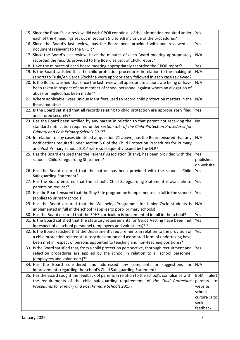| 15. Since the Board's last review, did each CPOR contain all of the information required under   | Yes                     |
|--------------------------------------------------------------------------------------------------|-------------------------|
| each of the 4 headings set out in sections 9.5 to 9.8 inclusive of the procedures?               |                         |
| 16. Since the Board's last review, has the Board been provided with and reviewed all             | Yes                     |
| documents relevant to the CPOR?                                                                  |                         |
| 17. Since the Board's last review, have the minutes of each Board meeting appropriately          | N/A                     |
| recorded the records provided to the Board as part of CPOR report?                               |                         |
| 18. Have the minutes of each Board meeting appropriately recorded the CPOR report?               | Yes                     |
| 19. Is the Board satisfied that the child protection procedures in relation to the making of     | N/A                     |
| reports to Tusla/An Garda Síochána were appropriately followed in each case reviewed?            |                         |
| 20. Is the Board satisfied that since the last review, all appropriate actions are being or have | N/A                     |
| been taken in respect of any member of school personnel against whom an allegation of            |                         |
| abuse or neglect has been made?*                                                                 |                         |
| 21. Where applicable, were unique identifiers used to record child protection matters in the     | N/A                     |
| Board minutes?                                                                                   |                         |
| 22. Is the Board satisfied that all records relating to child protection are appropriately filed | Yes                     |
| and stored securely?                                                                             |                         |
| 23. Has the Board been notified by any parent in relation to that parent not receiving the       | No                      |
| standard notification required under section 5.6 of the Child Protection Procedures for          |                         |
| Primary and Post Primary Schools 2017?                                                           |                         |
| 24. In relation to any cases identified at question 21 above, has the Board ensured that any     | N/A                     |
| notifications required under section 5.6 of the Child Protection Procedures for Primary          |                         |
| and Post Primary Schools 2017 were subsequently issued by the DLP?                               |                         |
| 25. Has the Board ensured that the Parents' Association (if any), has been provided with the     | Yes                     |
| school's Child Safeguarding Statement?                                                           | published<br>on website |
| 26. Has the Board ensured that the patron has been provided with the school's Child              | Yes                     |
| Safeguarding Statement?                                                                          |                         |
| 27. Has the Board ensured that the school's Child Safeguarding Statement is available to         | Yes                     |
| parents on request?                                                                              |                         |
| 28. Has the Board ensured that the Stay Safe programme is implemented in full in the school?     | Yes                     |
| (applies to primary schools)                                                                     |                         |
| 29. Has the Board ensured that the Wellbeing Programme for Junior Cycle students is              | N/A                     |
| implemented in full in the school? (applies to post- primary schools)                            |                         |
| 30. Has the Board ensured that the SPHE curriculum is implemented in full in the school?         | Yes                     |
| 31. Is the Board satisfied that the statutory requirements for Garda Vetting have been met       | Yes                     |
| in respect of all school personnel (employees and volunteers)? *                                 |                         |
| 32. Is the Board satisfied that the Department's requirements in relation to the provision of    | Yes                     |
| a child protection related statutory declaration and associated form of undertaking have         |                         |
| been met in respect of persons appointed to teaching and non-teaching positions?*                |                         |
| 33. Is the Board satisfied that, from a child protection perspective, thorough recruitment and   | Yes                     |
| selection procedures are applied by the school in relation to all school personnel               |                         |
| (employees and volunteers)?*                                                                     |                         |
| 34. Has the Board considered and addressed any complaints or suggestions for                     | N/A                     |
| improvements regarding the school's Child Safeguarding Statement?                                |                         |
| 35. Has the Board sought the feedback of parents in relation to the school's compliance with     | BoM<br>alert            |
| the requirements of the child safeguarding requirements of the Child Protection                  | parents<br>to           |
| Procedures for Primary and Post Primary Schools 2017?                                            | website;<br>school      |
|                                                                                                  | culture is to           |
|                                                                                                  | seek                    |
|                                                                                                  | feedback                |
|                                                                                                  |                         |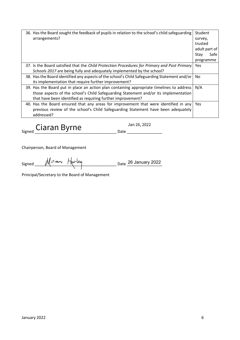| 36. Has the Board sought the feedback of pupils in relation to the school's child safeguarding<br>arrangements? | Student<br>survey, |
|-----------------------------------------------------------------------------------------------------------------|--------------------|
|                                                                                                                 | trusted            |
|                                                                                                                 | adult part of      |
|                                                                                                                 | Safe<br>Stav       |
|                                                                                                                 | programme          |
| 37. Is the Board satisfied that the Child Protection Procedures for Primary and Post Primary                    | Yes                |
| Schools 2017 are being fully and adequately implemented by the school?                                          |                    |
| 38. Has the Board identified any aspects of the school's Child Safeguarding Statement and/or                    | No                 |
| its implementation that require further improvement?                                                            |                    |
| 39. Has the Board put in place an action plan containing appropriate timelines to address                       | N/A                |
| those aspects of the school's Child Safeguarding Statement and/or its implementation                            |                    |
| that have been identified as requiring further improvement?                                                     |                    |
| 40. Has the Board ensured that any areas for improvement that were identified in any                            | Yes.               |
| previous review of the school's Child Safeguarding Statement have been adequately                               |                    |
| addressed?                                                                                                      |                    |

 $\frac{1}{\text{Signed}}$  Ciaran Byrne  $\frac{1}{\text{Signed}}$  Date  $\frac{1}{\text{Slope}}$ 

Chairperson, Board of Management

Signed  $\frac{M^{ir\times m}}{m}$  Furley extended Date 26 January 2022

Principal/Secretary to the Board of Management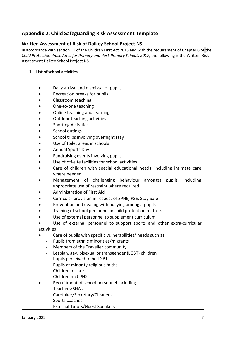## **Appendix 2: Child Safeguarding Risk Assessment Template**

### **Written Assessment of Risk of Dalkey School Project NS**

In accordance with section 11 of the Children First Act 2015 and with the requirement of Chapter 8 of the *Child Protection Procedures for Primary and Post-Primary Schools 2017*, the following is the Written Risk Assessment Dalkey School Project NS.

#### **1. List of school activities**

- Daily arrival and dismissal of pupils
- Recreation breaks for pupils
- Classroom teaching
- One-to-one teaching
- Online teaching and learning
- Outdoor teaching activities
- Sporting Activities
- School outings
- School trips involving overnight stay
- Use of toilet areas in schools
- Annual Sports Day
- Fundraising events involving pupils
- Use of off-site facilities for school activities
- Care of children with special educational needs, including intimate care where needed
- Management of challenging behaviour amongst pupils, including appropriate use of restraint where required
- Administration of First Aid
- Curricular provision in respect of SPHE, RSE, Stay Safe
- Prevention and dealing with bullying amongst pupils
- Training of school personnel in child protection matters
- Use of external personnel to supplement curriculum
- Use of external personnel to support sports and other extra-curricular activities
- Care of pupils with specific vulnerabilities/ needs such as
	- Pupils from ethnic minorities/migrants
	- Members of the Traveller community
	- Lesbian, gay, bisexual or transgender (LGBT) children
	- Pupils perceived to be LGBT
	- Pupils of minority religious faiths
	- Children in care
	- Children on CPNS
	- Recruitment of school personnel including -
- Teachers/SNAs
	- Caretaker/Secretary/Cleaners
	- Sports coaches
	- External Tutors/Guest Speakers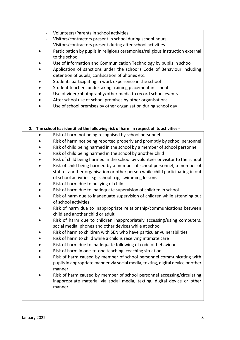- Volunteers/Parents in school activities
- Visitors/contractors present in school during school hours
- Visitors/contractors present during after school activities
- Participation by pupils in religious ceremonies/religious instruction external to the school
- Use of Information and Communication Technology by pupils in school
- Application of sanctions under the school's Code of Behaviour including detention of pupils, confiscation of phones etc.
- Students participating in work experience in the school
- Student teachers undertaking training placement in school
- Use of video/photography/other media to record school events
- After school use of school premises by other organisations
- Use of school premises by other organisation during school day

#### **2. The school has identified the following risk of harm in respect of its activities -**

- Risk of harm not being recognised by school personnel
- Risk of harm not being reported properly and promptly by school personnel
- Risk of child being harmed in the school by a member of school personnel
- Risk of child being harmed in the school by another child
- Risk of child being harmed in the school by volunteer or visitor to the school
- Risk of child being harmed by a member of school personnel, a member of staff of another organisation or other person while child participating in out of school activities e.g. school trip, swimming lessons
- Risk of harm due to bullying of child
- Risk of harm due to inadequate supervision of children in school
- Risk of harm due to inadequate supervision of children while attending out of school activities
- Risk of harm due to inappropriate relationship/communications between child and another child or adult
- Risk of harm due to children inappropriately accessing/using computers, social media, phones and other devices while at school
- Risk of harm to children with SEN who have particular vulnerabilities
- Risk of harm to child while a child is receiving intimate care
- Risk of harm due to inadequate following of code of behaviour
- Risk of harm in one-to-one teaching, coaching situation
- Risk of harm caused by member of school personnel communicating with pupils in appropriate manner via social media, texting, digital device or other manner
- Risk of harm caused by member of school personnel accessing/circulating inappropriate material via social media, texting, digital device or other manner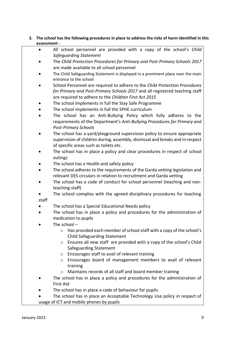#### **3. The school has the following procedures in place to address the risks of harm identified in this assessment -**

- All school personnel are provided with a copy of the school's *Child Safeguarding Statement*
- The *Child Protection Procedures for Primary and Post-Primary Schools 2017* are made available to all school personnel
- The Child Safeguarding Statement is displayed in a prominent place near the main entrance to the school
- School Personnel are required to adhere to the *Child Protection Procedures for Primary and Post-Primary Schools 2017* and all registered teaching staff are required to adhere to the *Children First Act 2015*
- The school implements in full the Stay Safe Programme
- The school implements in full the SPHE curriculum
- The school has an Anti-Bullying Policy which fully adheres to the requirements of the Department's *Anti-Bullying Procedures for Primary and Post-Primary Schools*
- The school has a yard/playground supervision policy to ensure appropriate supervision of children during, assembly, dismissal and breaks and in respect of specific areas such as toilets etc.
- The school has in place a policy and clear procedures in respect of school outings
- The school has a Health and safety policy
- The school adheres to the requirements of the Garda vetting legislation and relevant DES circulars in relation to recruitment and Garda vetting
- The school has a code of conduct for school personnel (teaching and nonteaching staff)
- The school complies with the agreed disciplinary procedures for teaching staff
- The school has a Special Educational Needs policy
- The school has in place a policy and procedures for the administration of medication to pupils
- The school  $$ 
	- o Has provided each member of school staff with a copy of the school's Child Safeguarding Statement
	- o Ensures all new staff are provided with a copy of the school's Child Safeguarding Statement
	- o Encourages staff to avail of relevant training
	- o Encourages board of management members to avail of relevant training
	- o Maintains records of all staff and board member training
- The school has in place a policy and procedures for the administration of First Aid
- The school has in place a code of behaviour for pupils
- The school has in place an Acceptable Technology Use policy in respect of usage of ICT and mobile phones by pupils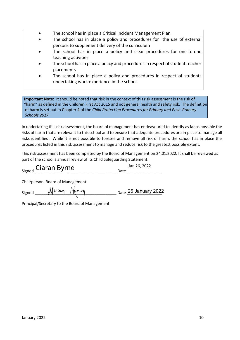- The school has in place a Critical Incident Management Plan
- The school has in place a policy and procedures for the use of external persons to supplement delivery of the curriculum
- The school has in place a policy and clear procedures for one-to-one teaching activities
- The school has in place a policy and procedures in respect of student teacher placements
- The school has in place a policy and procedures in respect of students undertaking work experience in the school

**Important Note:** It should be noted that risk in the context of this risk assessment is the risk of "harm" as defined in the Children First Act 2015 and not general health and safety risk. The definition of harm is set out in Chapter 4 of the *Child Protection Procedures for Primary and Post- Primary Schools 2017*

In undertaking this risk assessment, the board of management has endeavoured to identify as far as possible the risks of harm that are relevant to this school and to ensure that adequate procedures are in place to manage all risks identified. While it is not possible to foresee and remove all risk of harm, the school has in place the procedures listed in this risk assessment to manage and reduce risk to the greatest possible extent.

This risk assessment has been completed by the Board of Management on 24.01.2022. It shall be reviewed as part of the school's annual review of its Child Safeguarding Statement.

| <sub>Signed</sub> Ciaran Byrne | Jan 26, 2022 |
|--------------------------------|--------------|
|                                |              |

Chairperson, Board of Management

| Signed | Miriam Hurley | Date 26 January 2022 |
|--------|---------------|----------------------|
|        |               |                      |

Principal/Secretary to the Board of Management